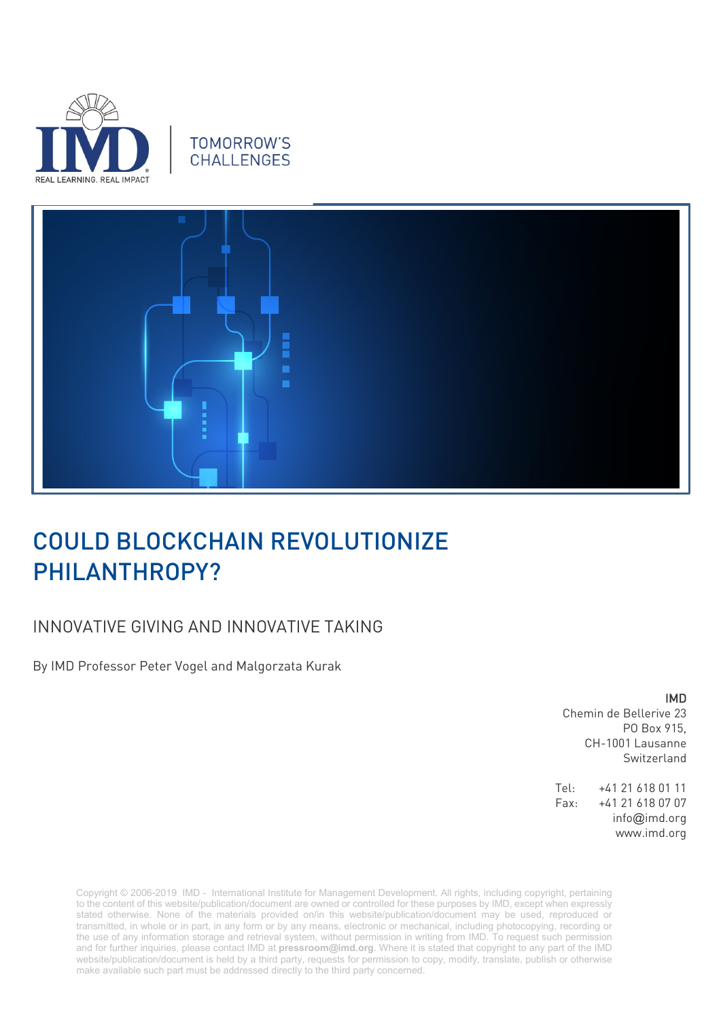

# **TOMORROW'S CHALLENGES**



# COULD BLOCKCHAIN REVOLUTIONIZE PHILANTHROPY?

# INNOVATIVE GIVING AND INNOVATIVE TAKING

By IMD Professor Peter Vogel and Malgorzata Kurak

IMD

Chemin de Bellerive 23 PO Box 915, CH-1001 Lausanne Switzerland

Tel: +41 21 618 01 11 Fax: +41 21 618 07 07 info@imd.org www.imd.org

Copyright © 2006-2019 IMD - International Institute for Management Development. All rights, including copyright, pertaining to the content of this website/publication/document are owned or controlled for these purposes by IMD, except when expressly stated otherwise. None of the materials provided on/in this website/publication/document may be used, reproduced or transmitted, in whole or in part, in any form or by any means, electronic or mechanical, including photocopying, recording or the use of any information storage and retrieval system, without permission in writing from IMD. To request such permission and for further inquiries, please contact IMD at **[pressroom@imd.org](mailto:pressroom@imd.org)**. Where it is stated that copyright to any part of the IMD website/publication/document is held by a third party, requests for permission to copy, modify, translate, publish or otherwise make available such part must be addressed directly to the third party concerned.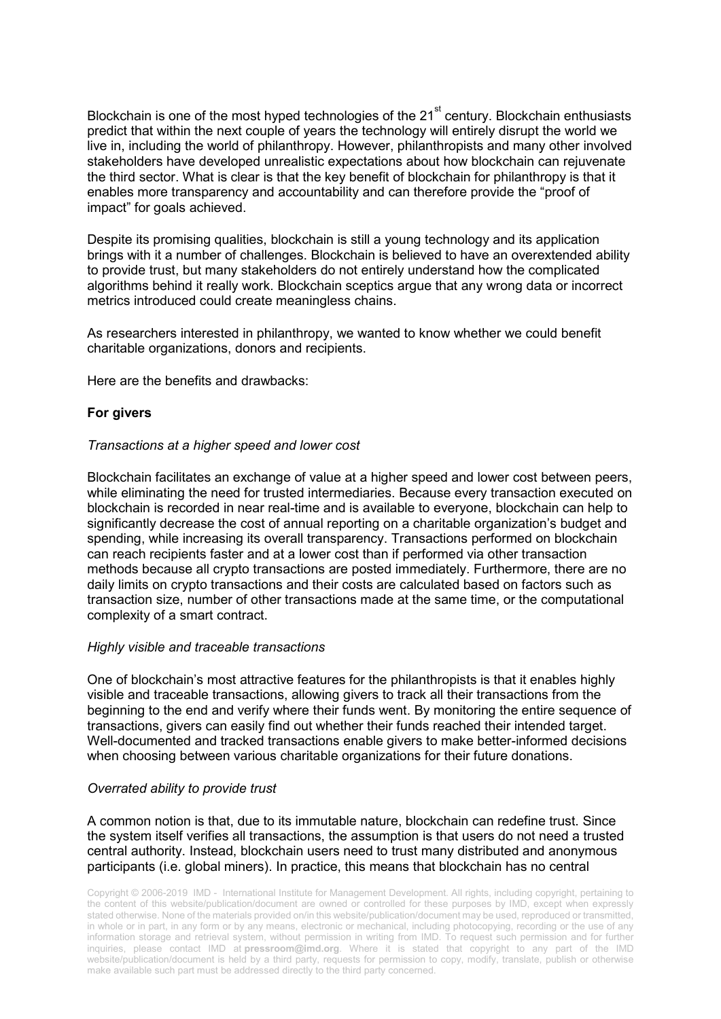Blockchain is one of the most hyped technologies of the  $21<sup>st</sup>$  century. Blockchain enthusiasts predict that within the next couple of years the technology will entirely disrupt the world we live in, including the world of philanthropy. However, philanthropists and many other involved stakeholders have developed unrealistic expectations about how blockchain can rejuvenate the third sector. What is clear is that the key benefit of blockchain for philanthropy is that it enables more transparency and accountability and can therefore provide the "proof of impact" for goals achieved.

Despite its promising qualities, blockchain is still a young technology and its application brings with it a number of challenges. Blockchain is believed to have an overextended ability to provide trust, but many stakeholders do not entirely understand how the complicated algorithms behind it really work. Blockchain sceptics argue that any wrong data or incorrect metrics introduced could create meaningless chains.

As researchers interested in philanthropy, we wanted to know whether we could benefit charitable organizations, donors and recipients.

Here are the benefits and drawbacks:

# **For givers**

#### *Transactions at a higher speed and lower cost*

Blockchain facilitates an exchange of value at a higher speed and lower cost between peers, while eliminating the need for trusted intermediaries. Because every transaction executed on blockchain is recorded in near real-time and is available to everyone, blockchain can help to significantly decrease the cost of annual reporting on a charitable organization's budget and spending, while increasing its overall transparency. Transactions performed on blockchain can reach recipients faster and at a lower cost than if performed via other transaction methods because all crypto transactions are posted immediately. Furthermore, there are no daily limits on crypto transactions and their costs are calculated based on factors such as transaction size, number of other transactions made at the same time, or the computational complexity of a smart contract.

#### *Highly visible and traceable transactions*

One of blockchain's most attractive features for the philanthropists is that it enables highly visible and traceable transactions, allowing givers to track all their transactions from the beginning to the end and verify where their funds went. By monitoring the entire sequence of transactions, givers can easily find out whether their funds reached their intended target. Well-documented and tracked transactions enable givers to make better-informed decisions when choosing between various charitable organizations for their future donations.

#### *Overrated ability to provide trust*

A common notion is that, due to its immutable nature, blockchain can redefine trust. Since the system itself verifies all transactions, the assumption is that users do not need a trusted central authority. Instead, blockchain users need to trust many distributed and anonymous participants (i.e. global miners). In practice, this means that blockchain has no central

Copyright © 2006-2019 IMD - International Institute for Management Development. All rights, including copyright, pertaining to the content of this website/publication/document are owned or controlled for these purposes by IMD, except when expressly stated otherwise. None of the materials provided on/in this website/publication/document may be used, reproduced or transmitted, in whole or in part, in any form or by any means, electronic or mechanical, including photocopying, recording or the use of any information storage and retrieval system, without permission in writing from IMD. To request such permission and for further inquiries, please contact IMD at **[pressroom@imd.org](mailto:pressroom@imd.org)**. Where it is stated that copyright to any part of the IMD website/publication/document is held by a third party, requests for permission to copy, modify, translate, publish or otherwise make available such part must be addressed directly to the third party concerned.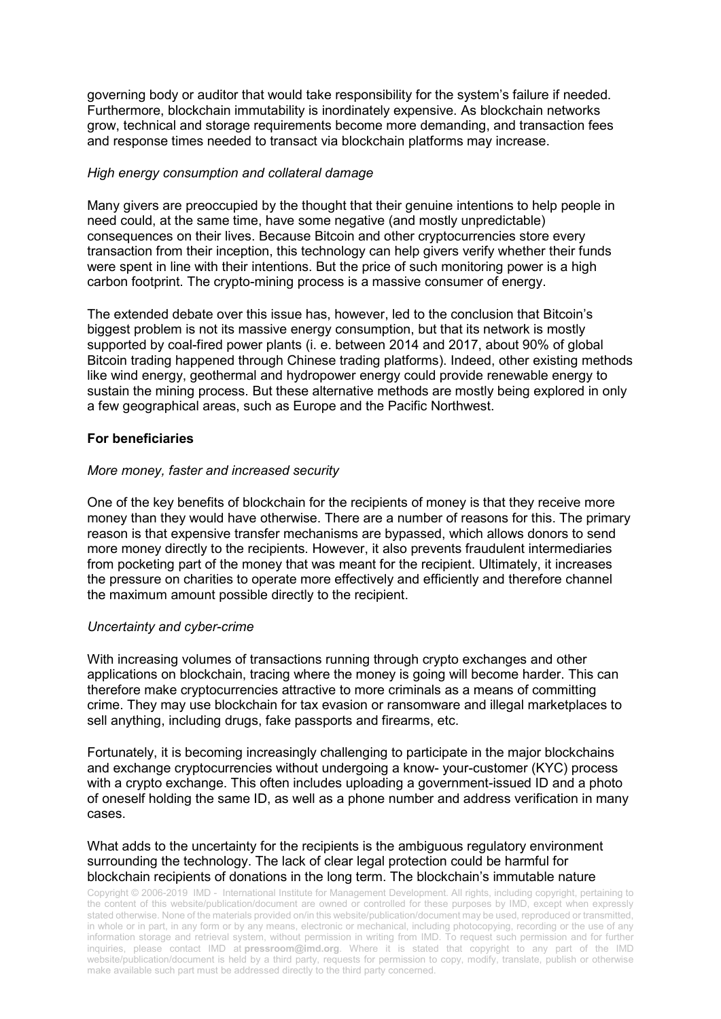governing body or auditor that would take responsibility for the system's failure if needed. Furthermore, blockchain immutability is inordinately expensive. As blockchain networks grow, technical and storage requirements become more demanding, and transaction fees and response times needed to transact via blockchain platforms may increase.

#### *High energy consumption and collateral damage*

Many givers are preoccupied by the thought that their genuine intentions to help people in need could, at the same time, have some negative (and mostly unpredictable) consequences on their lives. Because Bitcoin and other cryptocurrencies store every transaction from their inception, this technology can help givers verify whether their funds were spent in line with their intentions. But the price of such monitoring power is a high carbon footprint. The crypto-mining process is a massive consumer of energy.

The extended debate over this issue has, however, led to the conclusion that Bitcoin's biggest problem is not its massive energy consumption, but that its network is mostly supported by coal-fired power plants (i. e. between 2014 and 2017, about 90% of global Bitcoin trading happened through Chinese trading platforms). Indeed, other existing methods like wind energy, geothermal and hydropower energy could provide renewable energy to sustain the mining process. But these alternative methods are mostly being explored in only a few geographical areas, such as Europe and the Pacific Northwest.

# **For beneficiaries**

# *More money, faster and increased security*

One of the key benefits of blockchain for the recipients of money is that they receive more money than they would have otherwise. There are a number of reasons for this. The primary reason is that expensive transfer mechanisms are bypassed, which allows donors to send more money directly to the recipients. However, it also prevents fraudulent intermediaries from pocketing part of the money that was meant for the recipient. Ultimately, it increases the pressure on charities to operate more effectively and efficiently and therefore channel the maximum amount possible directly to the recipient.

# *Uncertainty and cyber-crime*

With increasing volumes of transactions running through crypto exchanges and other applications on blockchain, tracing where the money is going will become harder. This can therefore make cryptocurrencies attractive to more criminals as a means of committing crime. They may use blockchain for tax evasion or ransomware and illegal marketplaces to sell anything, including drugs, fake passports and firearms, etc.

Fortunately, it is becoming increasingly challenging to participate in the major blockchains and exchange cryptocurrencies without undergoing a know- your-customer (KYC) process with a crypto exchange. This often includes uploading a government-issued ID and a photo of oneself holding the same ID, as well as a phone number and address verification in many cases.

#### What adds to the uncertainty for the recipients is the ambiguous regulatory environment surrounding the technology. The lack of clear legal protection could be harmful for blockchain recipients of donations in the long term. The blockchain's immutable nature

Copyright © 2006-2019 IMD - International Institute for Management Development. All rights, including copyright, pertaining to the content of this website/publication/document are owned or controlled for these purposes by IMD, except when expressly stated otherwise. None of the materials provided on/in this website/publication/document may be used, reproduced or transmitted, in whole or in part, in any form or by any means, electronic or mechanical, including photocopying, recording or the use of any information storage and retrieval system, without permission in writing from IMD. To request such permission and for further inquiries, please contact IMD at **[pressroom@imd.org](mailto:pressroom@imd.org)**. Where it is stated that copyright to any part of the IMD website/publication/document is held by a third party, requests for permission to copy, modify, translate, publish or otherwise make available such part must be addressed directly to the third party concerned.